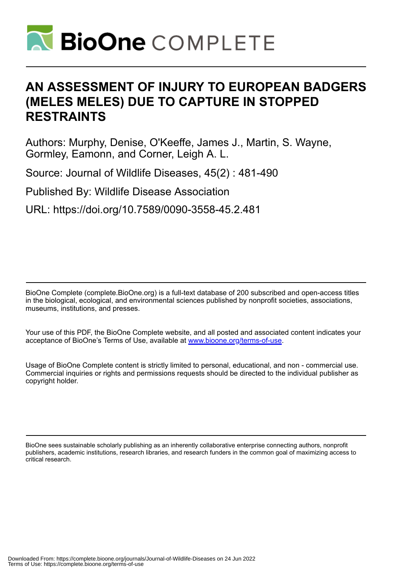

# **AN ASSESSMENT OF INJURY TO EUROPEAN BADGERS (MELES MELES) DUE TO CAPTURE IN STOPPED RESTRAINTS**

Authors: Murphy, Denise, O'Keeffe, James J., Martin, S. Wayne, Gormley, Eamonn, and Corner, Leigh A. L.

Source: Journal of Wildlife Diseases, 45(2) : 481-490

Published By: Wildlife Disease Association

URL: https://doi.org/10.7589/0090-3558-45.2.481

BioOne Complete (complete.BioOne.org) is a full-text database of 200 subscribed and open-access titles in the biological, ecological, and environmental sciences published by nonprofit societies, associations, museums, institutions, and presses.

Your use of this PDF, the BioOne Complete website, and all posted and associated content indicates your acceptance of BioOne's Terms of Use, available at www.bioone.org/terms-of-use.

Usage of BioOne Complete content is strictly limited to personal, educational, and non - commercial use. Commercial inquiries or rights and permissions requests should be directed to the individual publisher as copyright holder.

BioOne sees sustainable scholarly publishing as an inherently collaborative enterprise connecting authors, nonprofit publishers, academic institutions, research libraries, and research funders in the common goal of maximizing access to critical research.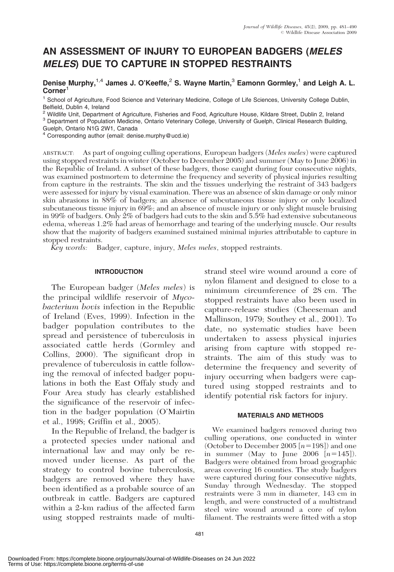# AN ASSESSMENT OF INJURY TO EUROPEAN BADGERS (MELES MELES) DUE TO CAPTURE IN STOPPED RESTRAINTS

Denise Murphy,<sup>1,4</sup> James J. O'Keeffe,<sup>2</sup> S. Wayne Martin,<sup>3</sup> Eamonn Gormley,<sup>1</sup> and Leigh A. L.  $\text{Corner}^1$ 

<sup>1</sup> School of Agriculture, Food Science and Veterinary Medicine, College of Life Sciences, University College Dublin, Belfield, Dublin 4, Ireland<br><sup>2</sup> Wildlife Unit, Department of Agriculture, Fisheries and Food, Agriculture House, Kildare Street, Dublin 2, Ireland

<sup>3</sup> Department of Population Medicine, Ontario Veterinary College, University of Guelph, Clinical Research Building, Guelph, Ontario N1G 2W1, Canada

<sup>4</sup> Corresponding author (email: denise.murphy@ucd.ie)

ABSTRACT: As part of ongoing culling operations, European badgers (Meles meles) were captured using stopped restraints in winter (October to December 2005) and summer (May to June 2006) in the Republic of Ireland. A subset of these badgers, those caught during four consecutive nights, was examined postmortem to determine the frequency and severity of physical injuries resulting from capture in the restraints. The skin and the tissues underlying the restraint of 343 badgers were assessed for injury by visual examination. There was an absence of skin damage or only minor skin abrasions in 88% of badgers; an absence of subcutaneous tissue injury or only localized subcutaneous tissue injury in 69%; and an absence of muscle injury or only slight muscle bruising in 99% of badgers. Only 2% of badgers had cuts to the skin and 5.5% had extensive subcutaneous edema, whereas 1.2% had areas of hemorrhage and tearing of the underlying muscle. Our results show that the majority of badgers examined sustained minimal injuries attributable to capture in stopped restraints.<br>Key words: Ba

Badger, capture, injury, Meles meles, stopped restraints.

#### **INTRODUCTION**

The European badger (Meles meles) is the principal wildlife reservoir of Mycobacterium bovis infection in the Republic of Ireland (Eves, 1999). Infection in the badger population contributes to the spread and persistence of tuberculosis in associated cattle herds (Gormley and Collins, 2000). The significant drop in prevalence of tuberculosis in cattle following the removal of infected badger populations in both the East Offaly study and Four Area study has clearly established the significance of the reservoir of infection in the badger population (O'Mairtin et al., 1998; Griffin et al., 2005).

In the Republic of Ireland, the badger is a protected species under national and international law and may only be removed under license. As part of the strategy to control bovine tuberculosis, badgers are removed where they have been identified as a probable source of an outbreak in cattle. Badgers are captured within a 2-km radius of the affected farm using stopped restraints made of multistrand steel wire wound around a core of nylon filament and designed to close to a minimum circumference of 28 cm. The stopped restraints have also been used in capture-release studies (Cheeseman and Mallinson, 1979; Southey et al., 2001). To date, no systematic studies have been undertaken to assess physical injuries arising from capture with stopped restraints. The aim of this study was to determine the frequency and severity of injury occurring when badgers were captured using stopped restraints and to identify potential risk factors for injury.

## MATERIALS AND METHODS

We examined badgers removed during two culling operations, one conducted in winter (October to December 2005  $[n=198]$ ) and one in summer (May to June 2006  $[n=145]$ ). Badgers were obtained from broad geographic areas covering 16 counties. The study badgers were captured during four consecutive nights, Sunday through Wednesday. The stopped restraints were 3 mm in diameter, 143 cm in length, and were constructed of a multistrand steel wire wound around a core of nylon filament. The restraints were fitted with a stop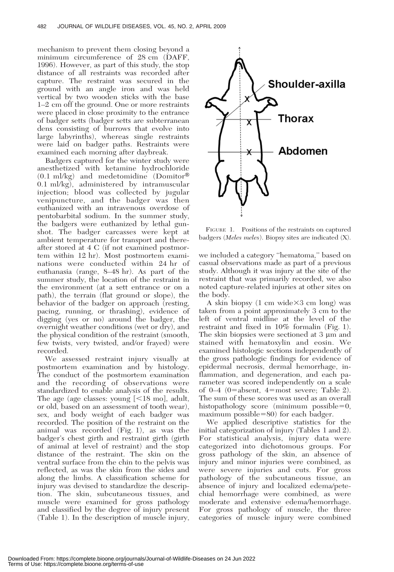mechanism to prevent them closing beyond a minimum circumference of 28 cm (DAFF, 1996). However, as part of this study, the stop distance of all restraints was recorded after capture. The restraint was secured in the ground with an angle iron and was held vertical by two wooden sticks with the base 1–2 cm off the ground. One or more restraints were placed in close proximity to the entrance of badger setts (badger setts are subterranean dens consisting of burrows that evolve into large labyrinths), whereas single restraints were laid on badger paths. Restraints were examined each morning after daybreak.

Badgers captured for the winter study were anesthetized with ketamine hydrochloride  $(0.1 \text{ ml/kg})$  and medetomidine (Domitor<sup>®</sup>)  $0.1 \text{ m}$ /kg), administered by intramuscular injection; blood was collected by jugular venipuncture, and the badger was then euthanized with an intravenous overdose of pentobarbital sodium. In the summer study, the badgers were euthanized by lethal gunshot. The badger carcasses were kept at ambient temperature for transport and thereafter stored at 4 C (if not examined postmortem within 12 hr). Most postmortem examinations were conducted within 24 hr of euthanasia (range, 8–48 hr). As part of the summer study, the location of the restraint in the environment (at a sett entrance or on a path), the terrain (flat ground or slope), the behavior of the badger on approach (resting, pacing, running, or thrashing), evidence of digging (yes or no) around the badger, the overnight weather conditions (wet or dry), and the physical condition of the restraint (smooth, few twists, very twisted, and/or frayed) were recorded.

We assessed restraint injury visually at postmortem examination and by histology. The conduct of the postmortem examination and the recording of observations were standardized to enable analysis of the results. The age (age classes: young  $\left[<18 \text{ mol}\right]$ , adult, or old, based on an assessment of tooth wear), sex, and body weight of each badger was recorded. The position of the restraint on the animal was recorded (Fig. 1), as was the badger's chest girth and restraint girth (girth of animal at level of restraint) and the stop distance of the restraint. The skin on the ventral surface from the chin to the pelvis was reflected, as was the skin from the sides and along the limbs. A classification scheme for injury was devised to standardize the description. The skin, subcutaneous tissues, and muscle were examined for gross pathology and classified by the degree of injury present (Table 1). In the description of muscle injury,



FIGURE 1. Positions of the restraints on captured badgers (Meles meles). Biopsy sites are indicated (X).

we included a category ''hematoma,'' based on casual observations made as part of a previous study. Although it was injury at the site of the restraint that was primarily recorded, we also noted capture-related injuries at other sites on the body.

A skin biopsy  $(1 \text{ cm wide} \times 3 \text{ cm long})$  was taken from a point approximately 3 cm to the left of ventral midline at the level of the restraint and fixed in 10% formalin (Fig. 1). The skin biopsies were sectioned at  $3 \mu m$  and stained with hematoxylin and eosin. We examined histologic sections independently of the gross pathologic findings for evidence of epidermal necrosis, dermal hemorrhage, inflammation, and degeneration, and each parameter was scored independently on a scale of 0–4 (0=absent, 4=most severe; Table 2). The sum of these scores was used as an overall histopathology score (minimum possible $=0$ , maximum possible $=80$ ) for each badger.

We applied descriptive statistics for the initial categorization of injury (Tables 1 and 2). For statistical analysis, injury data were categorized into dichotomous groups. For gross pathology of the skin, an absence of injury and minor injuries were combined, as were severe injuries and cuts. For gross pathology of the subcutaneous tissue, an absence of injury and localized edema/petechial hemorrhage were combined, as were moderate and extensive edema/hemorrhage. For gross pathology of muscle, the three categories of muscle injury were combined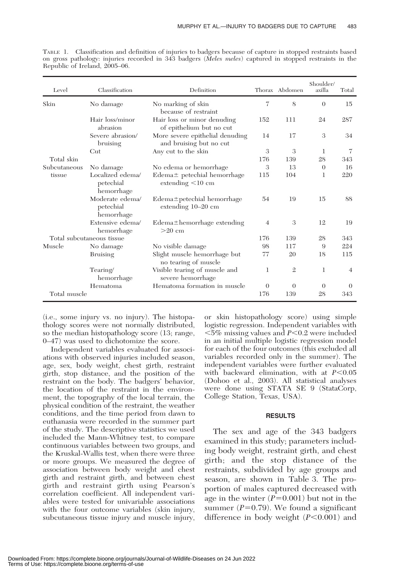| Level        | Classification                              | Definition                                                                      |                | Thorax Abdomen | Shoulder/<br>axilla | Total          |
|--------------|---------------------------------------------|---------------------------------------------------------------------------------|----------------|----------------|---------------------|----------------|
| Skin         | No damage                                   | No marking of skin                                                              | 7              | 8              | $\Omega$            | 15             |
|              | Hair loss/minor<br>abrasion                 | because of restraint<br>Hair loss or minor denuding<br>of epithelium but no cut | 152            | 111            | 24                  | 287            |
|              | Severe abrasion/<br>bruising                | More severe epithelial denuding<br>and bruising but no cut                      | 14             | 17             | 3                   | 34             |
|              | Cut                                         | Any cut to the skin                                                             | 3              | 3              | $\mathbf{1}$        | 7              |
| Total skin   |                                             |                                                                                 | 176            | 139            | 28                  | 343            |
| Subcutaneous | No damage                                   | No edema or hemorrhage                                                          | 3              | 13             | $\theta$            | 16             |
| tissue       | Localized edema/<br>petechial<br>hemorrhage | Edema± petechial hemorrhage<br>extending $\leq 10$ cm                           | 115            | 104            | 1                   | 220            |
|              | Moderate edema/<br>petechial<br>hemorrhage  | $Edema ± petechial$ hemorrhage<br>extending 10–20 cm                            | 54             | 19             | 15                  | 88             |
|              | Extensive edema/<br>hemorrhage              | $Edema ±$ hemorrhage extending<br>$>20$ cm                                      | $\overline{4}$ | 3              | 12                  | 19             |
|              | Total subcutaneous tissue                   |                                                                                 | 176            | 139            | 28                  | 343            |
| Muscle       | No damage                                   | No visible damage                                                               | 98             | 117            | 9                   | 224            |
|              | <b>Bruising</b>                             | Slight muscle hemorrhage but<br>no tearing of muscle                            | 77             | 20             | 18                  | 115            |
|              | Tearing/<br>hemorrhage                      | Visible tearing of muscle and<br>severe hemorrhage                              | 1              | $\mathfrak{2}$ | 1                   | $\overline{4}$ |
|              | Hematoma                                    | Hematoma formation in muscle                                                    | $\Omega$       | $\Omega$       | $\Omega$            | $\theta$       |
| Total muscle |                                             |                                                                                 | 176            | 139            | 28                  | 343            |

TABLE 1. Classification and definition of injuries to badgers because of capture in stopped restraints based on gross pathology: injuries recorded in 343 badgers (Meles meles) captured in stopped restraints in the Republic of Ireland, 2005–06.

(i.e., some injury vs. no injury). The histopathology scores were not normally distributed, so the median histopathology score (13; range, 0–47) was used to dichotomize the score.

Independent variables evaluated for associations with observed injuries included season, age, sex, body weight, chest girth, restraint girth, stop distance, and the position of the restraint on the body. The badgers' behavior, the location of the restraint in the environment, the topography of the local terrain, the physical condition of the restraint, the weather conditions, and the time period from dawn to euthanasia were recorded in the summer part of the study. The descriptive statistics we used included the Mann-Whitney test, to compare continuous variables between two groups, and the Kruskal-Wallis test, when there were three or more groups. We measured the degree of association between body weight and chest girth and restraint girth, and between chest girth and restraint girth using Pearson's correlation coefficient. All independent variables were tested for univariable associations with the four outcome variables (skin injury, subcutaneous tissue injury and muscle injury,

or skin histopathology score) using simple logistic regression. Independent variables with  $<$ 5% missing values and P $<$ 0.2 were included in an initial multiple logistic regression model for each of the four outcomes (this excluded all variables recorded only in the summer). The independent variables were further evaluated with backward elimination, with at  $P<0.05$ (Dohoo et al., 2003). All statistical analyses were done using STATA SE 9 (StataCorp, College Station, Texas, USA).

#### RESULTS

The sex and age of the 343 badgers examined in this study; parameters including body weight, restraint girth, and chest girth; and the stop distance of the restraints, subdivided by age groups and season, are shown in Table 3. The proportion of males captured decreased with age in the winter  $(P=0.001)$  but not in the summer  $(P=0.79)$ . We found a significant difference in body weight  $(P<0.001)$  and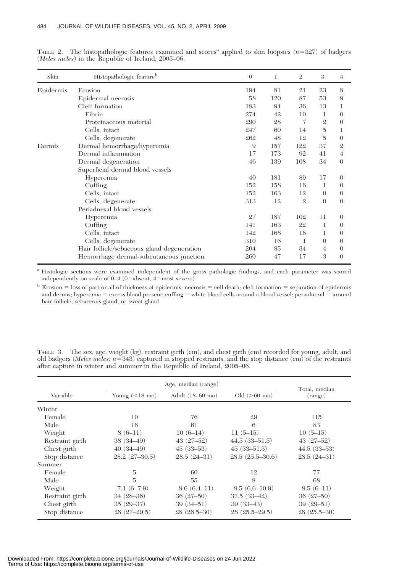| Skin      | Histopathologic feature <sup>b</sup>       | $\boldsymbol{0}$ | 1   | $\mathbf{2}$ | 3              | $\overline{4}$ |
|-----------|--------------------------------------------|------------------|-----|--------------|----------------|----------------|
| Epidermis | Erosion                                    | 194              | 81  | 21           | 23             | 8              |
|           | Epidermal necrosis                         | 58               | 120 | 87           | 53             | 9              |
|           | Cleft formation                            | 183              | 94  | 36           | 13             | 1              |
|           | Fibrin                                     | 274              | 42  | 10           | 1              | $\theta$       |
|           | Proteinaceous material                     | 290              | 28  | 7            | $\mathfrak{2}$ | $\theta$       |
|           | Cells, intact                              | 247              | 60  | 14           | $\overline{5}$ | 1              |
|           | Cells, degenerate                          | 262              | 48  | 12           | $\overline{5}$ | $\theta$       |
| Dermis    | Dermal hemorrhage/hyperemia                | 9                | 157 | 122          | 37             | $\overline{2}$ |
|           | Dermal inflammation                        | 17               | 173 | 92           | 41             | $\overline{4}$ |
|           | Dermal degeneration                        | 46               | 139 | 108          | 34             | $\theta$       |
|           | Superficial dermal blood vessels           |                  |     |              |                |                |
|           | Hyperemia                                  | 40               | 181 | 89           | 17             | $\theta$       |
|           | Cuffing                                    | 152              | 158 | 16           | 1              | $\theta$       |
|           | Cells, intact                              | 152              | 163 | 12           | $\theta$       | $\theta$       |
|           | Cells, degenerate                          | 313              | 12  | 2            | $\theta$       | $\theta$       |
|           | Periadnexal blood vessels                  |                  |     |              |                |                |
|           | Hyperemia                                  | 27               | 187 | 102          | 11             | $\theta$       |
|           | Cuffing                                    | 141              | 163 | 22           | 1              | $\theta$       |
|           | Cells, intact                              | 142              | 168 | 16           | 1              | $\theta$       |
|           | Cells, degenerate                          | 310              | 16  | 1            | $\theta$       | $\theta$       |
|           | Hair follicle/sebaceous gland degeneration | 204              | 85  | 34           | $\overline{4}$ | $\theta$       |
|           | Hemorrhage dermal-subcutaneous junction    | 260              | 47  | 17           | 3              | $\theta$       |

TABLE 2. The histopathologic features examined and scores<sup>a</sup> applied to skin biopsies ( $n=327$ ) of badgers (Meles meles) in the Republic of Ireland, 2005–06.

<sup>a</sup> Histologic sections were examined independent of the gross pathologic findings, and each parameter was scored independently on scale of  $0-4$  ( $0=$ absent,  $4=$ most severe).

 $\frac{b}{b}$  Erosion = loss of part or all of thickness of epidermis; necrosis = cell death; cleft formation = separation of epidermis and dermis; hyperemia = excess blood present; cuffing = white blood cells around a blood vessel; periadnexal = around hair follicle, sebaceous gland, or sweat gland

|  |                                                                         |  | TABLE 3. The sex, age, weight (kg), restraint girth (cm), and chest girth (cm) recorded for young, adult, and             |  |
|--|-------------------------------------------------------------------------|--|---------------------------------------------------------------------------------------------------------------------------|--|
|  |                                                                         |  | old badgers ( <i>Meles meles</i> ; $n=343$ ) captured in stopped restraints, and the stop distance (cm) of the restraints |  |
|  | after capture in winter and summer in the Republic of Ireland, 2005–06. |  |                                                                                                                           |  |

|                 |                   | Total, median              |                   |                 |
|-----------------|-------------------|----------------------------|-------------------|-----------------|
| Variable        | Young $(< 18$ mo) | Adult $(18–60 \text{ mo})$ | Old $(>60$ mo)    | (range)         |
| Winter          |                   |                            |                   |                 |
| Female          | 10                | 76                         | 29                | 115             |
| Male            | 16                | 61                         | 6                 | 83              |
| Weight          | $8(6-11)$         | $10(6-14)$                 | $11(5-15)$        | $10(5-15)$      |
| Restraint girth | $38(34-49)$       | $43(27-52)$                | $44.5(33 - 51.5)$ | $43(27-52)$     |
| Chest girth     | $40(34-49)$       | $45(33 - 53)$              | $45(33 - 51.5)$   | $44.5(33 - 53)$ |
| Stop distance   | $28.2(27-30.5)$   | $28.5(24-31)$              | $28.5(25.5-30.6)$ | $28.5(24-31)$   |
| Summer          |                   |                            |                   |                 |
| Female          | 5                 | 60                         | 12                | 77              |
| Male            | $\overline{5}$    | 55                         | 8                 | 68              |
| Weight          | $7.1(6-7.9)$      | $8.6(6.4-11)$              | $8.5(6.6-10.9)$   | $8.5(6-11)$     |
| Restraint girth | $34(28-36)$       | $36(27-50)$                | $37.5(33 - 42)$   | $36(27-50)$     |
| Chest girth     | $35(29-37)$       | $39(34 - 51)$              | $39(33-43)$       | $39(29 - 51)$   |
| Stop distance   | $28(27-29.5)$     | $28(26.5-30)$              | $28(25.5-29.5)$   | $28(25.5-30)$   |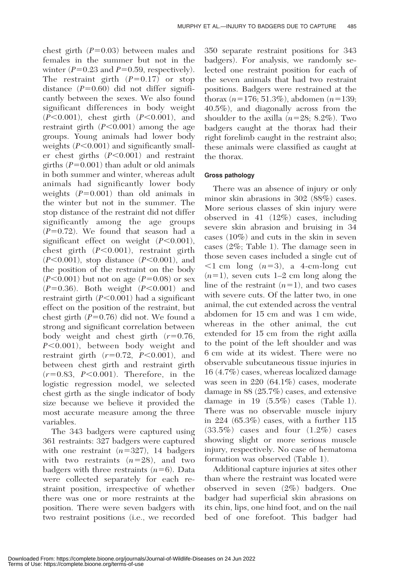chest girth  $(P=0.03)$  between males and females in the summer but not in the winter ( $P=0.23$  and  $P=0.59$ , respectively). The restraint girth  $(P=0.17)$  or stop distance  $(P=0.60)$  did not differ significantly between the sexes. We also found significant differences in body weight  $(P<0.001)$ , chest girth  $(P<0.001)$ , and restraint girth  $(P<0.001)$  among the age groups. Young animals had lower body weights  $(P<0.001)$  and significantly smaller chest girths  $(P<0.001)$  and restraint girths  $(P=0.001)$  than adult or old animals in both summer and winter, whereas adult animals had significantly lower body weights  $(P=0.001)$  than old animals in the winter but not in the summer. The stop distance of the restraint did not differ significantly among the age groups  $(P=0.72)$ . We found that season had a significant effect on weight  $(P<0.001)$ , chest girth  $(P<0.001)$ , restraint girth  $(P<0.001)$ , stop distance  $(P<0.001)$ , and the position of the restraint on the body  $(P<0.001)$  but not on age  $(P=0.08)$  or sex  $(P=0.36)$ . Both weight  $(P<0.001)$  and restraint girth  $(P<0.001)$  had a significant effect on the position of the restraint, but chest girth  $(P=0.76)$  did not. We found a strong and significant correlation between body weight and chest girth  $(r=0.76,$  $P<0.001$ ), between body weight and restraint girth  $(r=0.72, P<0.001)$ , and between chest girth and restraint girth  $(r=0.83, P<0.001)$ . Therefore, in the logistic regression model, we selected chest girth as the single indicator of body size because we believe it provided the most accurate measure among the three variables.

The 343 badgers were captured using 361 restraints: 327 badgers were captured with one restraint  $(n=327)$ , 14 badgers with two restraints  $(n=28)$ , and two badgers with three restraints  $(n=6)$ . Data were collected separately for each restraint position, irrespective of whether there was one or more restraints at the position. There were seven badgers with two restraint positions (i.e., we recorded 350 separate restraint positions for 343 badgers). For analysis, we randomly selected one restraint position for each of the seven animals that had two restraint positions. Badgers were restrained at the thorax  $(n=176; 51.3\%)$ , abdomen  $(n=139;$ 40.5%), and diagonally across from the shoulder to the axilla  $(n=28; 8.2\%)$ . Two badgers caught at the thorax had their right forelimb caught in the restraint also; these animals were classified as caught at the thorax.

#### Gross pathology

There was an absence of injury or only minor skin abrasions in 302 (88%) cases. More serious classes of skin injury were observed in 41 (12%) cases, including severe skin abrasion and bruising in 34 cases (10%) and cuts in the skin in seven cases (2%; Table 1). The damage seen in those seven cases included a single cut of  $\leq 1$  cm long  $(n=3)$ , a 4-cm-long cut  $(n=1)$ , seven cuts 1–2 cm long along the line of the restraint  $(n=1)$ , and two cases with severe cuts. Of the latter two, in one animal, the cut extended across the ventral abdomen for 15 cm and was 1 cm wide, whereas in the other animal, the cut extended for 15 cm from the right axilla to the point of the left shoulder and was 6 cm wide at its widest. There were no observable subcutaneous tissue injuries in 16 (4.7%) cases, whereas localized damage was seen in 220 (64.1%) cases, moderate damage in 88 (25.7%) cases, and extensive damage in  $19$   $(5.5\%)$  cases (Table 1). There was no observable muscle injury in 224 (65.3%) cases, with a further 115  $(33.5\%)$  cases and four  $(1.2\%)$  cases showing slight or more serious muscle injury, respectively. No case of hematoma formation was observed (Table 1).

Additional capture injuries at sites other than where the restraint was located were observed in seven (2%) badgers. One badger had superficial skin abrasions on its chin, lips, one hind foot, and on the nail bed of one forefoot. This badger had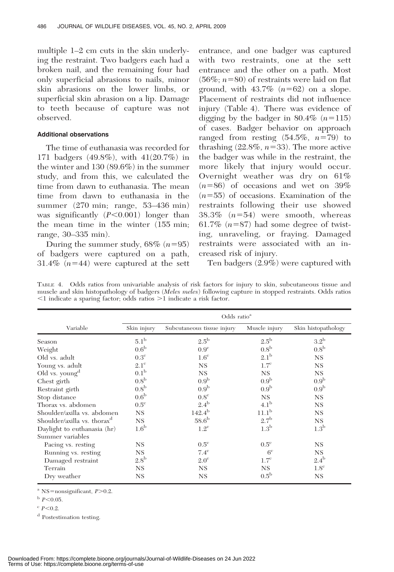multiple 1–2 cm cuts in the skin underlying the restraint. Two badgers each had a broken nail, and the remaining four had only superficial abrasions to nails, minor skin abrasions on the lower limbs, or superficial skin abrasion on a lip. Damage to teeth because of capture was not observed.

#### Additional observations

The time of euthanasia was recorded for 171 badgers (49.8%), with 41(20.7%) in the winter and 130 (89.6%) in the summer study, and from this, we calculated the time from dawn to euthanasia. The mean time from dawn to euthanasia in the summer (270 min; range, 53–436 min) was significantly  $(P<0.001)$  longer than the mean time in the winter (155 min; range, 30–335 min).

During the summer study,  $68\%$  ( $n=95$ ) of badgers were captured on a path, 31.4%  $(n=44)$  were captured at the sett entrance, and one badger was captured with two restraints, one at the sett entrance and the other on a path. Most  $(56\%, n=80)$  of restraints were laid on flat ground, with  $43.7\%$   $(n=62)$  on a slope. Placement of restraints did not influence injury (Table 4). There was evidence of digging by the badger in  $80.4\%$  ( $n=115$ ) of cases. Badger behavior on approach ranged from resting  $(54.5\%, n=79)$  to thrashing  $(22.8\%, n=33)$ . The more active the badger was while in the restraint, the more likely that injury would occur. Overnight weather was dry on 61%  $(n=86)$  of occasions and wet on 39%  $(n=55)$  of occasions. Examination of the restraints following their use showed 38.3%  $(n=54)$  were smooth, whereas 61.7%  $(n=87)$  had some degree of twisting, unraveling, or fraying. Damaged restraints were associated with an increased risk of injury.

Ten badgers (2.9%) were captured with

TABLE 4. Odds ratios from univariable analysis of risk factors for injury to skin, subcutaneous tissue and muscle and skin histopathology of badgers (Meles meles) following capture in stopped restraints. Odds ratios  $\leq$ 1 indicate a sparing factor; odds ratios  $\geq$ 1 indicate a risk factor.

|                                         | Odds ratio <sup>a</sup> |                            |                                      |                                      |  |  |  |
|-----------------------------------------|-------------------------|----------------------------|--------------------------------------|--------------------------------------|--|--|--|
| Variable                                | Skin injury             | Subcutaneous tissue injury | Muscle injury                        | Skin histopathology                  |  |  |  |
| Season                                  | $5.1^{\rm b}$           | $2.5^{\rm b}$              | $2.5^{\rm b}$                        | $3.2^{\rm b}$                        |  |  |  |
| Weight                                  | 0.6 <sup>b</sup>        | 0.9 <sup>c</sup>           | 0.8 <sup>b</sup>                     | 0.8 <sup>b</sup>                     |  |  |  |
| Old vs. adult                           | $0.3^\circ$             | $1.6^\circ$                | $2.1^{\rm b}$                        | <b>NS</b>                            |  |  |  |
| Young vs. adult                         | $2.1^\circ$             | <b>NS</b>                  | $1.7^{\circ}$                        | NS                                   |  |  |  |
| Old vs. $\gamma$ oung <sup>d</sup>      | 0.1 <sup>b</sup>        | NS                         | NS                                   | <b>NS</b>                            |  |  |  |
| Chest girth                             | 0.8 <sup>b</sup>        | 0.9 <sup>b</sup>           | 0.9 <sup>b</sup>                     | 0.9 <sup>b</sup><br>0.9 <sup>b</sup> |  |  |  |
| Restraint girth                         | 0.8 <sup>b</sup>        |                            | 0.9 <sup>b</sup><br>0.9 <sup>b</sup> |                                      |  |  |  |
| Stop distance                           | 0.6 <sup>b</sup>        | 0.8 <sup>c</sup>           | NS                                   | NS                                   |  |  |  |
| Thorax vs. abdomen                      | $0.5^{\circ}$           | $2.4^{\rm b}$              | $4.1^{\rm b}$                        | <b>NS</b>                            |  |  |  |
| Shoulder/axilla vs. abdomen             | $_{NS}$                 | $142.4^{\mathrm{b}}$       | 11.1 <sup>b</sup>                    | <b>NS</b>                            |  |  |  |
| Shoulder/axilla vs. thorax <sup>d</sup> | NS.                     | 58.6 <sup>b</sup>          | 2.7 <sup>b</sup>                     | <b>NS</b>                            |  |  |  |
| Daylight to euthanasia (hr)             | 1.6 <sup>b</sup>        | $1.2^{\circ}$              | 1.3 <sup>b</sup>                     | 1.3 <sup>b</sup>                     |  |  |  |
| Summer variables                        |                         |                            |                                      |                                      |  |  |  |
| Pacing vs. resting                      | NS                      | $0.5^{\circ}$              | $0.5^{\circ}$                        | <b>NS</b>                            |  |  |  |
| Running vs. resting                     | NS                      | $7.4^{\circ}$              | 6 <sup>c</sup>                       | <b>NS</b>                            |  |  |  |
| Damaged restraint                       | 2.8 <sup>b</sup>        | $2.0^\circ$                | $1.7^\circ$                          | $2.4^{\rm b}$                        |  |  |  |
| Terrain                                 | NS                      | NS                         | <b>NS</b>                            | 1.8 <sup>c</sup>                     |  |  |  |
| Dry weather                             | NS                      | <b>NS</b>                  | $0.5^{\rm b}$                        | <b>NS</b>                            |  |  |  |

 $^{\rm a}$  NS=nonsignificant,  $P{>}0.2.$ 

<sup>d</sup> Postestimation testing.

 $b$   $P<0.05$ .

 $^{\circ}$  P < 0.2.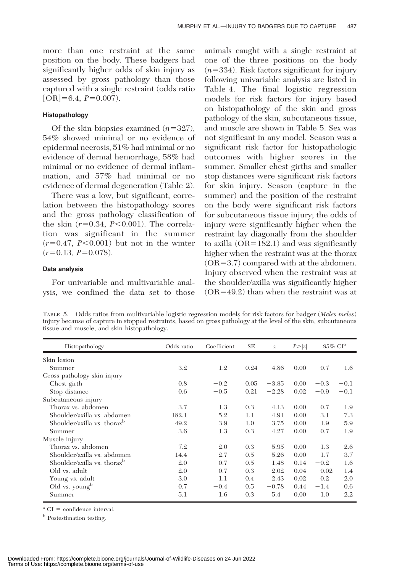more than one restraint at the same position on the body. These badgers had significantly higher odds of skin injury as assessed by gross pathology than those captured with a single restraint (odds ratio  $[OR]=6.4, P=0.007$ .

#### Histopathology

Of the skin biopsies examined  $(n=327)$ , 54% showed minimal or no evidence of epidermal necrosis, 51% had minimal or no evidence of dermal hemorrhage, 58% had minimal or no evidence of dermal inflammation, and 57% had minimal or no evidence of dermal degeneration (Table 2).

There was a low, but significant, correlation between the histopathology scores and the gross pathology classification of the skin  $(r=0.34, P<0.001)$ . The correlation was significant in the summer  $(r=0.47, P<0.001)$  but not in the winter  $(r=0.13, P=0.078).$ 

#### Data analysis

For univariable and multivariable analysis, we confined the data set to those animals caught with a single restraint at one of the three positions on the body  $(n=334)$ . Risk factors significant for injury following univariable analysis are listed in Table 4. The final logistic regression models for risk factors for injury based on histopathology of the skin and gross pathology of the skin, subcutaneous tissue, and muscle are shown in Table 5. Sex was not significant in any model. Season was a significant risk factor for histopathologic outcomes with higher scores in the summer. Smaller chest girths and smaller stop distances were significant risk factors for skin injury. Season (capture in the summer) and the position of the restraint on the body were significant risk factors for subcutaneous tissue injury; the odds of injury were significantly higher when the restraint lay diagonally from the shoulder to axilla  $(OR=182.1)$  and was significantly higher when the restraint was at the thorax  $(OR=3.7)$  compared with at the abdomen. Injury observed when the restraint was at the shoulder/axilla was significantly higher  $(OR=49.2)$  than when the restraint was at

TABLE 5. Odds ratios from multivariable logistic regression models for risk factors for badger (Meles meles) injury because of capture in stopped restraints, based on gross pathology at the level of the skin, subcutaneous tissue and muscle, and skin histopathology.

| Histopathology                          | Odds ratio | Coefficient | SE   | $\widetilde{\sim}$ | P >  z | $95\%$ CI <sup>a</sup> |        |
|-----------------------------------------|------------|-------------|------|--------------------|--------|------------------------|--------|
| Skin lesion                             |            |             |      |                    |        |                        |        |
| Summer                                  | 3.2        | 1.2         | 0.24 | 4.86               | 0.00   | 0.7                    | 1.6    |
| Gross pathology skin injury             |            |             |      |                    |        |                        |        |
| Chest girth                             | 0.8        | $-0.2$      | 0.05 | $-3.85$            | 0.00   | $-0.3$                 | $-0.1$ |
| Stop distance                           | 0.6        | $-0.5$      | 0.21 | $-2.28$            | 0.02   | $-0.9$                 | $-0.1$ |
| Subcutaneous injury                     |            |             |      |                    |        |                        |        |
| Thorax vs. abdomen                      | 3.7        | 1.3         | 0.3  | 4.13               | 0.00   | 0.7                    | 1.9    |
| Shoulder/axilla vs. abdomen             | 182.1      | 5.2         | 1.1  | 4.91               | 0.00   | 3.1                    | 7.3    |
| Shoulder/axilla vs. thorax <sup>b</sup> | 49.2       | 3.9         | 1.0  | 3.75               | 0.00   | 1.9                    | 5.9    |
| Summer                                  | 3.6        | 1.3         | 0.3  | 4.27               | 0.00   | 0.7                    | 1.9    |
| Muscle injury                           |            |             |      |                    |        |                        |        |
| Thorax vs. abdomen                      | 7.2        | 2.0         | 0.3  | 5.95               | 0.00   | 1.3                    | 2.6    |
| Shoulder/axilla vs. abdomen             | 14.4       | 2.7         | 0.5  | 5.26               | 0.00   | 1.7                    | 3.7    |
| Shoulder/axilla vs. thorax <sup>b</sup> | 2.0        | 0.7         | 0.5  | 1.48               | 0.14   | $-0.2$                 | 1.6    |
| Old vs. adult                           | 2.0        | 0.7         | 0.3  | 2.02               | 0.04   | 0.02                   | 1.4    |
| Young vs. adult                         | 3.0        | 1.1         | 0.4  | 2.43               | 0.02   | 0.2                    | 2.0    |
| Old vs. $\gamma$ oung $\mu$             | 0.7        | $-0.4$      | 0.5  | $-0.78$            | 0.44   | $-1.4$                 | 0.6    |
| Summer                                  | 5.1        | 1.6         | 0.3  | 5.4                | 0.00   | 1.0                    | 2.2    |

 $^{\rm a}$  CI = confidence interval.

**b** Postestimation testing.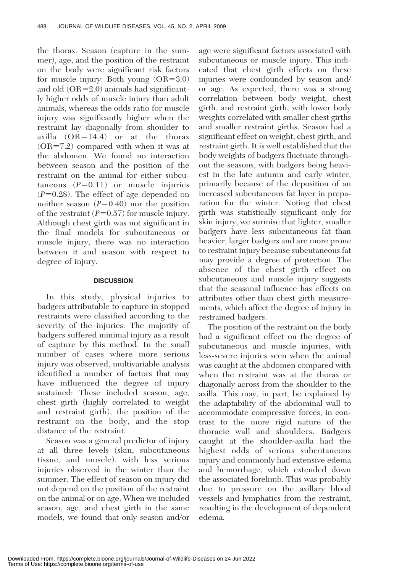the thorax. Season (capture in the summer), age, and the position of the restraint on the body were significant risk factors for muscle injury. Both young  $(OR=3.0)$ and old  $(OR=2.0)$  animals had significantly higher odds of muscle injury than adult animals, whereas the odds ratio for muscle injury was significantly higher when the restraint lay diagonally from shoulder to axilla  $(OR=14.4)$  or at the thorax  $(OR=7.2)$  compared with when it was at the abdomen. We found no interaction between season and the position of the restraint on the animal for either subcutaneous  $(P=0.11)$  or muscle injuries  $(P=0.28)$ . The effect of age depended on neither season  $(P=0.40)$  nor the position of the restraint  $(P=0.57)$  for muscle injury. Although chest girth was not significant in the final models for subcutaneous or muscle injury, there was no interaction between it and season with respect to degree of injury.

## **DISCUSSION**

In this study, physical injuries to badgers attributable to capture in stopped restraints were classified according to the severity of the injuries. The majority of badgers suffered minimal injury as a result of capture by this method. In the small number of cases where more serious injury was observed, multivariable analysis identified a number of factors that may have influenced the degree of injury sustained: These included season, age, chest girth (highly correlated to weight and restraint girth), the position of the restraint on the body, and the stop distance of the restraint.

Season was a general predictor of injury at all three levels (skin, subcutaneous tissue, and muscle), with less serious injuries observed in the winter than the summer. The effect of season on injury did not depend on the position of the restraint on the animal or on age. When we included season, age, and chest girth in the same models, we found that only season and/or age were significant factors associated with subcutaneous or muscle injury. This indicated that chest girth effects on these injuries were confounded by season and/ or age. As expected, there was a strong correlation between body weight, chest girth, and restraint girth, with lower body weights correlated with smaller chest girths and smaller restraint girths. Season had a significant effect on weight, chest girth, and restraint girth. It is well established that the body weights of badgers fluctuate throughout the seasons, with badgers being heaviest in the late autumn and early winter, primarily because of the deposition of an increased subcutaneous fat layer in preparation for the winter. Noting that chest girth was statistically significant only for skin injury, we surmise that lighter, smaller badgers have less subcutaneous fat than heavier, larger badgers and are more prone to restraint injury because subcutaneous fat may provide a degree of protection. The absence of the chest girth effect on subcutaneous and muscle injury suggests that the seasonal influence has effects on attributes other than chest girth measurements, which affect the degree of injury in restrained badgers.

The position of the restraint on the body had a significant effect on the degree of subcutaneous and muscle injuries, with less-severe injuries seen when the animal was caught at the abdomen compared with when the restraint was at the thorax or diagonally across from the shoulder to the axilla. This may, in part, be explained by the adaptability of the abdominal wall to accommodate compressive forces, in contrast to the more rigid nature of the thoracic wall and shoulders. Badgers caught at the shoulder-axilla had the highest odds of serious subcutaneous injury and commonly had extensive edema and hemorrhage, which extended down the associated forelimb. This was probably due to pressure on the axillary blood vessels and lymphatics from the restraint, resulting in the development of dependent edema.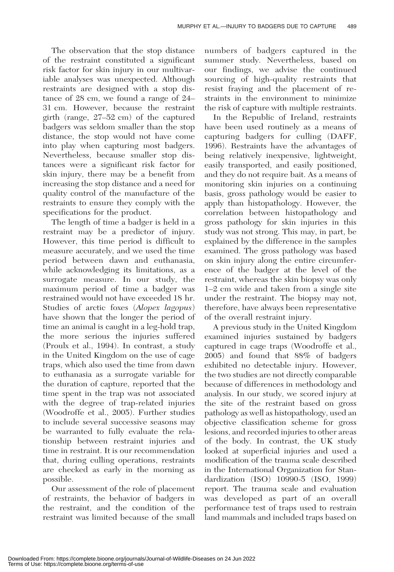The observation that the stop distance of the restraint constituted a significant risk factor for skin injury in our multivariable analyses was unexpected. Although restraints are designed with a stop distance of 28 cm, we found a range of 24– 31 cm. However, because the restraint girth (range, 27–52 cm) of the captured badgers was seldom smaller than the stop distance, the stop would not have come into play when capturing most badgers. Nevertheless, because smaller stop distances were a significant risk factor for skin injury, there may be a benefit from increasing the stop distance and a need for quality control of the manufacture of the restraints to ensure they comply with the specifications for the product.

The length of time a badger is held in a restraint may be a predictor of injury. However, this time period is difficult to measure accurately, and we used the time period between dawn and euthanasia, while acknowledging its limitations, as a surrogate measure. In our study, the maximum period of time a badger was restrained would not have exceeded 18 hr. Studies of arctic foxes (Alopex lagopus) have shown that the longer the period of time an animal is caught in a leg-hold trap, the more serious the injuries suffered (Proulx et al., 1994). In contrast, a study in the United Kingdom on the use of cage traps, which also used the time from dawn to euthanasia as a surrogate variable for the duration of capture, reported that the time spent in the trap was not associated with the degree of trap-related injuries (Woodroffe et al., 2005). Further studies to include several successive seasons may be warranted to fully evaluate the relationship between restraint injuries and time in restraint. It is our recommendation that, during culling operations, restraints are checked as early in the morning as possible.

Our assessment of the role of placement of restraints, the behavior of badgers in the restraint, and the condition of the restraint was limited because of the small numbers of badgers captured in the summer study. Nevertheless, based on our findings, we advise the continued sourcing of high-quality restraints that resist fraying and the placement of restraints in the environment to minimize the risk of capture with multiple restraints.

In the Republic of Ireland, restraints have been used routinely as a means of capturing badgers for culling (DAFF, 1996). Restraints have the advantages of being relatively inexpensive, lightweight, easily transported, and easily positioned, and they do not require bait. As a means of monitoring skin injuries on a continuing basis, gross pathology would be easier to apply than histopathology. However, the correlation between histopathology and gross pathology for skin injuries in this study was not strong. This may, in part, be explained by the difference in the samples examined. The gross pathology was based on skin injury along the entire circumference of the badger at the level of the restraint, whereas the skin biopsy was only 1–2 cm wide and taken from a single site under the restraint. The biopsy may not, therefore, have always been representative of the overall restraint injury.

A previous study in the United Kingdom examined injuries sustained by badgers captured in cage traps (Woodroffe et al., 2005) and found that 88% of badgers exhibited no detectable injury. However, the two studies are not directly comparable because of differences in methodology and analysis. In our study, we scored injury at the site of the restraint based on gross pathology as well as histopathology, used an objective classification scheme for gross lesions, and recorded injuries to other areas of the body. In contrast, the UK study looked at superficial injuries and used a modification of the trauma scale described in the International Organization for Standardization (ISO) 10990-5 (ISO, 1999) report. The trauma scale and evaluation was developed as part of an overall performance test of traps used to restrain land mammals and included traps based on